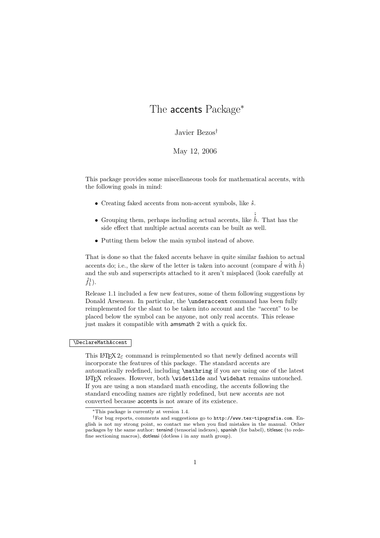# The accents Package<sup>∗</sup>

# Javier Bezos†

## May 12, 2006

This package provides some miscellaneous tools for mathematical accents, with the following goals in mind:

- $\bullet$  Creating faked accents from non-accent symbols, like  $\dot{s}$ .
- Grouping them, perhaps including actual accents, like  $\hat{\hat{h}}$ . That has the side effect that multiple actual accents can be built as well.
- Putting them below the main symbol instead of above.

That is done so that the faked accents behave in quite similar fashion to actual accents do; i.e., the skew of the letter is taken into account (compare  $\dot{d}$  with  $\dot{h}$ ) and the sub and superscripts attached to it aren't misplaced (look carefully at  $\dot{f}_1^1$ .

Release 1.1 included a few new features, some of them following suggestions by Donald Arseneau. In particular, the \underaccent command has been fully reimplemented for the slant to be taken into account and the "accent" to be placed below the symbol can be anyone, not only real accents. This release just makes it compatible with amsmath 2 with a quick fix.

## \DeclareMathAccent

This LATEX  $2\varepsilon$  command is reimplemented so that newly defined accents will incorporate the features of this package. The standard accents are automatically redefined, including \mathring if you are using one of the latest LATEX releases. However, both \widetilde and \widehat remains untouched. If you are using a non standard math encoding, the accents following the standard encoding names are rightly redefined, but new accents are not converted because accents is not aware of its existence.

<sup>∗</sup>This package is currently at version 1.4.

<sup>†</sup>For bug reports, comments and suggestions go to http://www.tex-tipografia.com. English is not my strong point, so contact me when you find mistakes in the manual. Other packages by the same author: tensind (tensorial indexes), spanish (for babel), titlesec (to redefine sectioning macros), dotlessi (dotless i in any math group).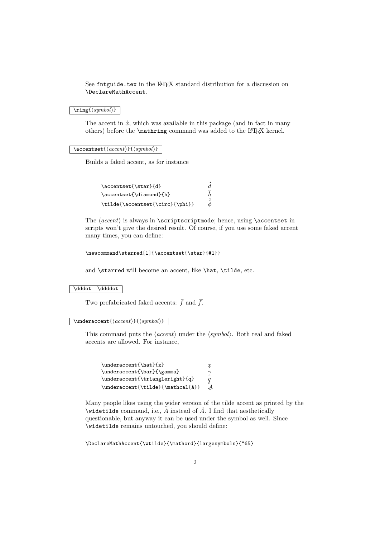See fntguide.tex in the LATEX standard distribution for a discussion on \DeclareMathAccent.

 $\overline{\langle \text{symbol} \rangle}$ 

The accent in  $\dot{x}$ , which was available in this package (and in fact in many others) before the **\mathring** command was added to the LAT<sub>EX</sub> kernel.

#### $\text{Carnb}({\text{second}}){\scriptstyle\{symbol\}}$

Builds a faked accent, as for instance

| \accentset{\star}{d}            | d.                        |
|---------------------------------|---------------------------|
| \accentset{\diamond}{h}         |                           |
| \tilde{\accentset{\circ}{\phi}} | $\tilde{\circ}$<br>$\phi$ |

The  $\langle$  accent) is always in \scriptscriptmode; hence, using \accentset in scripts won't give the desired result. Of course, if you use some faked accent many times, you can define:

```
\newcommand\starred[1]{\accentset{\star}{#1}}
```
and \starred will become an accent, like \hat, \tilde, etc.

\dddot \ddddot

Two prefabricated faked accents:  $\ddot{f}$  and  $\dddot{f}$ .

 $\{\mathsf{h}(a \in \{\langle \mathsf{argmin}\{\langle \mathsf{argmin}\rangle\}\}\)$ 

This command puts the  $\langle accent \rangle$  under the  $\langle symbol \rangle$ . Both real and faked accents are allowed. For instance,

```
\underaccent{\hat}{x}
                                                    \hat{\hat{\gamma}}\mathfrak{X}\underaccent{\bar}{\gamma}
                                                    \frac{q}{\beta}\underaccent{\triangleright}{q}
\undercccent{\tilde{} \mathcal{A}}\}\mathcal{A}
```
Many people likes using the wider version of the tilde accent as printed by the \widetilde command, i.e.,  $\widetilde{A}$  instead of  $\widetilde{A}$ . I find that aesthetically questionable, but anyway it can be used under the symbol as well. Since \widetilde remains untouched, you should define:

\DeclareMathAccent{\wtilde}{\mathord}{largesymbols}{"65}